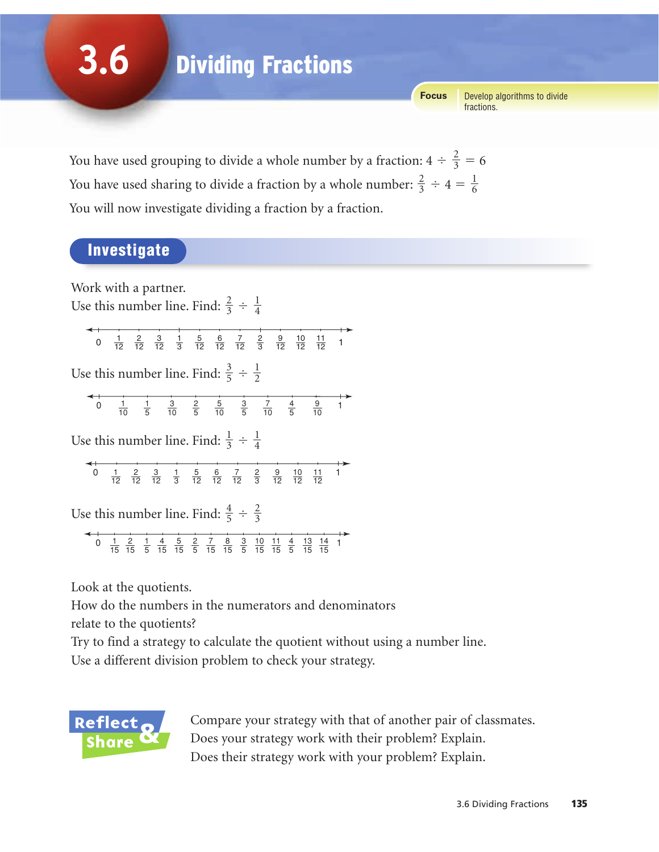**3.6** Dividing Fractions

> Develop algorithms to divide fractions. **Focus**

You have used grouping to divide a whole number by a fraction:  $4 \div \frac{2}{3} = 6$ You have used sharing to divide a fraction by a whole number:  $\frac{2}{3} \div 4 = \frac{1}{6}$ You will now investigate dividing a fraction by a fraction. 

### Investigate

Work with a partner.

Use this number line. Find:  $\frac{2}{3} \div \frac{1}{4}$  

> $\frac{1}{40}$   $\frac{2}{40}$   $\frac{3}{40}$   $\frac{1}{2}$   $\frac{5}{40}$   $\frac{6}{40}$   $\frac{7}{40}$   $\frac{2}{5}$   $\frac{9}{40}$   $\frac{10}{40}$   $\frac{11}{40}$  1

Use this number line. Find:  $\frac{3}{5} \div \frac{1}{2}$  

$$
\begin{array}{cccccccc}\n & 1 & 1 & 1 & 1 & 1 \\
\hline\n & 0 & 1 & 1 & 1 & 1 \\
 & 10 & 5 & 10 & 5 & 10 & 5 & 10 & 5 & 10\n\end{array}
$$

Use this number line. Find:  $\frac{1}{3} \div \frac{1}{4}$  

 1

Use this number line. Find:  $\frac{4}{5} \div \frac{2}{3}$  

 1 1 

Look at the quotients.

How do the numbers in the numerators and denominators

relate to the quotients?

Try to find a strategy to calculate the quotient without using a number line.

Use a different division problem to check your strategy.



Compare your strategy with that of another pair of classmates. Does your strategy work with their problem? Explain. Does their strategy work with your problem? Explain.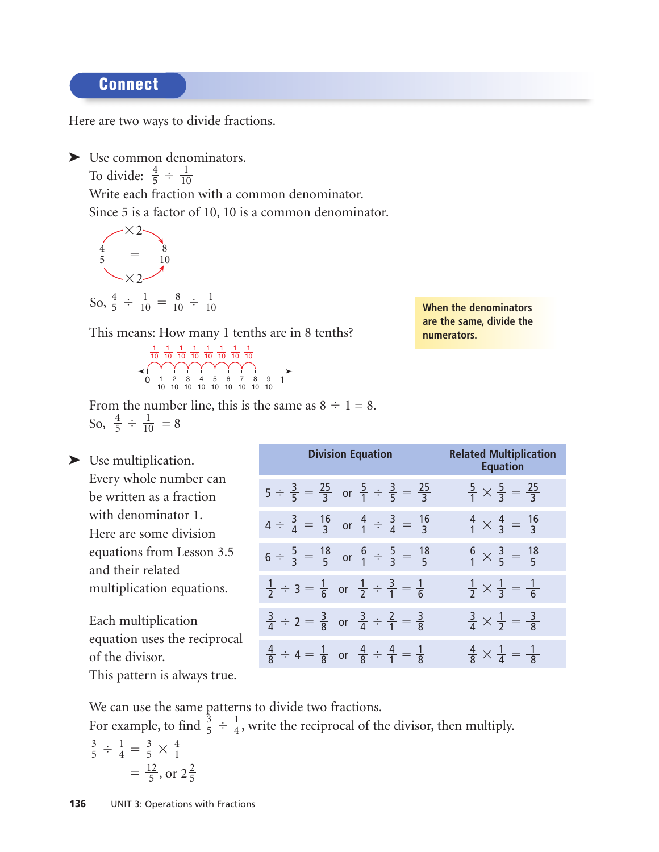#### Connect

Here are two ways to divide fractions.

➤ Use common denominators. To divide:  $\frac{4}{5} \div \frac{1}{10}$ Write each fraction with a common denominator. Since 5 is a factor of 10, 10 is a common denominator. 

 $\times 2$  $=$  $\times 2$  

So, 
$$
\frac{4}{5} \div \frac{1}{10} = \frac{8}{10} \div \frac{1}{10}
$$

This means: How many 1 tenths are in 8 tenths?

$$
\begin{array}{c|cccc}\n1 & 1 & 1 & 1 & 1 & 1 & 1 & 1 & 1 \\
\hline\n10 & 10 & 10 & 10 & 10 & 10 & 10 & 10 & 10 \\
\hline\n0 & 1 & 2 & 3 & 4 & 5 & 6 & 7 & 8 & 9 \\
\hline\n10 & 10 & 10 & 10 & 10 & 10 & 10 & 10 & 10\n\end{array}
$$

From the number line, this is the same as  $8 \div 1 = 8$ . So,  $\frac{4}{5} \div \frac{1}{10} = 8$  

▶ Use multiplication. Every whole number can be written as a fraction with denominator 1. Here are some division equations from Lesson 3.5 and their related multiplication equations. Each multiplication equation uses the reciprocal of the divisor. This pattern is always true. **Division Equation 19. In Related Multiplication Equation**  $5 \div \frac{3}{5} = \frac{25}{2}$  or  $\frac{5}{4} \div \frac{3}{5} = \frac{25}{2}$   $\frac{5}{4} \times \frac{5}{2} =$  $4 \div \frac{3}{4} = \frac{16}{2}$  or  $\frac{4}{1} \div \frac{3}{4} = \frac{16}{2}$   $\frac{4}{1} \times \frac{4}{2} = \frac{16}{2}$  $6 \div \frac{5}{2} = \frac{18}{5}$  or  $\frac{6}{1} \div \frac{5}{2} = \frac{18}{5}$   $\frac{6}{1} \times \frac{3}{5} = \frac{18}{5}$  $\div$  3 =  $\frac{1}{6}$  or  $\frac{1}{2} \div \frac{3}{1} = \frac{1}{6}$   $\frac{1}{2} \times \frac{1}{2} = \frac{1}{6}$  $\div$  2 =  $\frac{3}{6}$  or  $\frac{3}{4} \div \frac{2}{1} = \frac{3}{6}$   $\frac{3}{4} \times \frac{1}{2} = \frac{3}{6}$  $\div$  4 =  $\frac{1}{8}$  or  $\frac{4}{8} \div \frac{4}{1} = \frac{1}{8}$   $\frac{4}{8} \times \frac{1}{4} = \frac{1}{8}$   $\bar{\bar{8}}$   $\overline{\overline{2}}$   $\bar{\bar{4}}$   $\bar{\bar{8}}$   $\overline{\overline{1}}$   $\bar{\bar{4}}$   $\bar{\bar{8}}$   $\bar{\bar{4}}$   $\overline{2}$   $\overline{2}$   $\overline{2}$   $\bar{5}$   $\overline{1}$   $\bar{\bar{3}}$   $\overline{1}$   $\bar{\bar{3}}$  

We can use the same patterns to divide two fractions.

For example, to find  $\frac{3}{5} \div \frac{1}{4}$ , write the reciprocal of the divisor, then multiply.  $\overline{3}$ 

$$
\frac{3}{5} \div \frac{1}{4} = \frac{3}{5} \times \frac{4}{1}
$$

$$
= \frac{12}{5}, \text{ or } 2\frac{2}{5}
$$

**When the denominators are the same, divide the numerators.**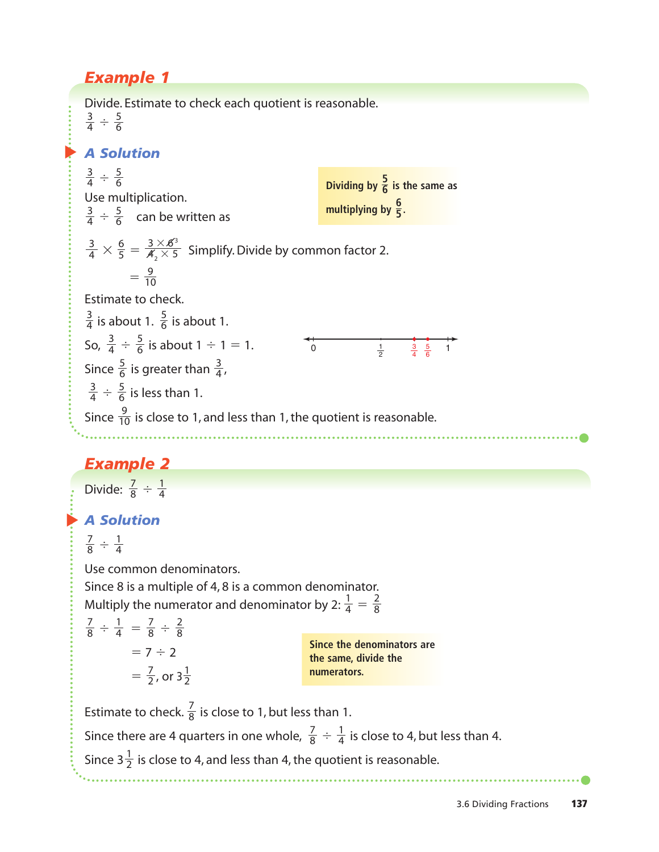## *Example 1*

▲ *A Solution* ▲ *A Solution* Divide. Estimate to check each quotient is reasonable.  $\div \frac{5}{6}$  $\div \frac{5}{6}$ Use multiplication.  $\div \frac{5}{6}$  can be written as  $\times \frac{6}{5} = \frac{3 \times 6^3}{4 \times 5}$  Simplify. Divide by common factor 2.  $=\frac{9}{10}$ Estimate to check. is about 1.  $\frac{5}{6}$  is about 1. So,  $\frac{3}{4} \div \frac{5}{6}$  is about 1  $\div$  1 = 1. Since  $\frac{5}{6}$  is greater than  $\frac{3}{4}$ ,  $\div$   $\frac{5}{6}$  is less than 1. Since  $\frac{9}{10}$  is close to 1, and less than 1, the quotient is reasonable. *Example 2* Divide:  $\frac{7}{8} \div \frac{1}{4}$  $\div \frac{1}{4}$ Use common denominators. Since 8 is a multiple of 4, 8 is a common denominator. Multiply the numerator and denominator by 2:  $\frac{1}{4} = \frac{2}{8}$  $\frac{1}{2} \frac{1}{4} = \frac{7}{8} \div \frac{2}{8}$ 7 1 7 8 1 4 4 7 8 4 7 8 10 6 3 4 4 5 6 6 3 4 6 3 4 10  $\frac{6}{5} = \frac{3 \times 6^3}{4^2 \times 5^3}$ 5 3 4 6 3 4 6 3 4 6 3 4 **Dividing by**  $\frac{5}{6}$  **is the same as** multiplying by  $\frac{6}{5}$ . **6** 0  $\frac{1}{2}$   $\frac{3}{4}$   $\frac{5}{6}$  1  $\frac{1}{2}$ 

 $= 7 \div 2$  $=\frac{7}{2}$ , or 3 $\frac{1}{2}$ 2 7 2 8 8 4

8

**Since the denominators are the same, divide the numerators.**

Estimate to check.  $\frac{7}{8}$  is close to 1, but less than 1. Since there are 4 quarters in one whole,  $\frac{7}{8} \div \frac{1}{4}$  is close to 4, but less than 4. Since 3 $\frac{1}{2}$  is close to 4, and less than 4, the quotient is reasonable. 4 7 8 8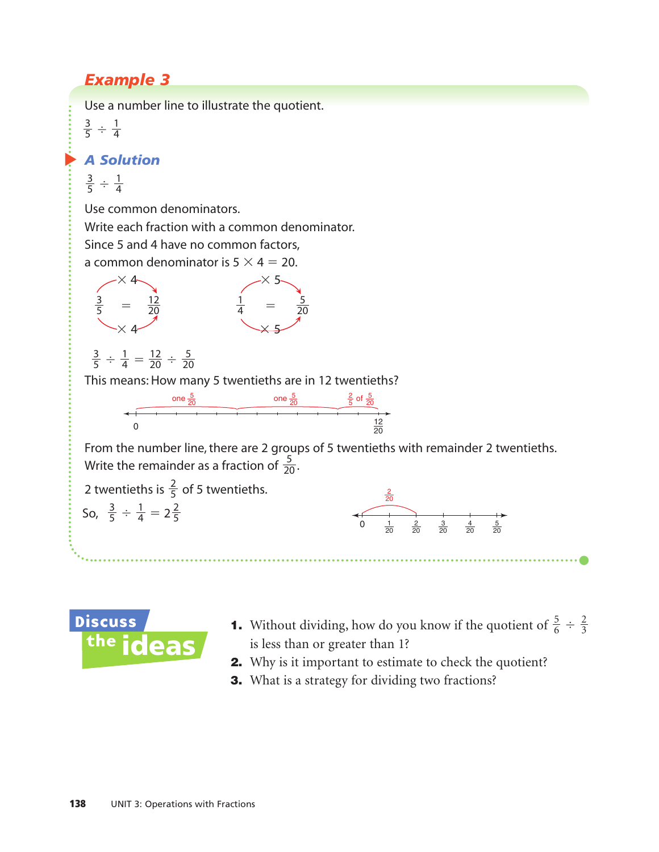# *Example 3*

Use a number line to illustrate the quotient.

 $\div \frac{1}{4}$  

#### ▲ *A Solution*

 $\div \frac{1}{4}$  

Use common denominators.

Write each fraction with a common denominator.

Since 5 and 4 have no common factors,

a common denominator is  $5 \times 4 = 20$ .



 $\frac{1}{4} = \frac{12}{20} \div \frac{5}{20}$  

This means: How many 5 twentieths are in 12 twentieths?



From the number line, there are 2 groups of 5 twentieths with remainder 2 twentieths. Write the remainder as a fraction of  $\frac{5}{20}$ . 





- **1.** Without dividing, how do you know if the quotient of  $\frac{5}{6} \div \frac{2}{3}$ is less than or greater than 1?
- 2. Why is it important to estimate to check the quotient?
- **3.** What is a strategy for dividing two fractions?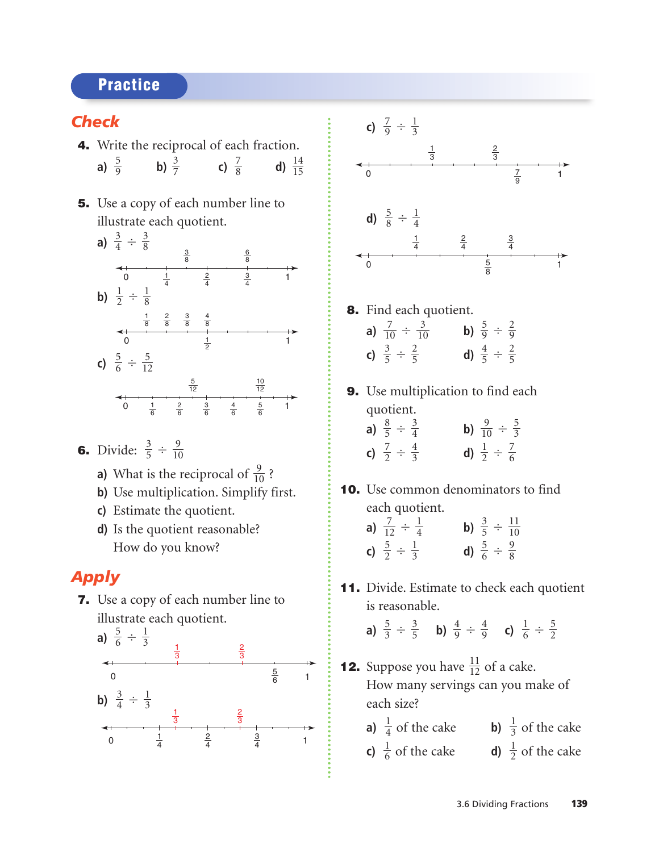## **Practice**

#### *Check*

- 4. Write the reciprocal of each fraction. **a)**  $\frac{5}{9}$  **b)**  $\frac{3}{7}$  **c)**  $\frac{7}{8}$  **d)**  $\frac{14}{15}$
- **5.** Use a copy of each number line to illustrate each quotient.



- **6.** Divide:  $\frac{3}{5} \div \frac{9}{10}$ 
	- **a)** What is the reciprocal of  $\frac{9}{10}$ ?
	- **b)** Use multiplication. Simplify first.
	- **c)** Estimate the quotient.
	- **d)** Is the quotient reasonable? How do you know?

### *Apply*

7. Use a copy of each number line to illustrate each quotient.





- 8. Find each quotient. **a)**  $\frac{7}{10} \div \frac{3}{10}$  **b)**  $\frac{5}{9} \div$ **c)**  $\frac{3}{5} \div \frac{2}{5}$  **d)**  $\frac{4}{5} \div \frac{2}{5}$
- 9. Use multiplication to find each quotient.

| a) $\frac{8}{5} \div \frac{3}{4}$ | b) $\frac{9}{10} \div \frac{5}{3}$ |
|-----------------------------------|------------------------------------|
| c) $\frac{7}{2} \div \frac{4}{3}$ | d) $\frac{1}{2} \div \frac{7}{6}$  |

10. Use common denominators to find each quotient.

| a) $\frac{7}{12} \div \frac{1}{4}$ | b) $\frac{3}{5} \div \frac{11}{10}$ |  |  |
|------------------------------------|-------------------------------------|--|--|
| c) $\frac{5}{2} \div \frac{1}{3}$  | d) $\frac{5}{6} \div \frac{9}{8}$   |  |  |

11. Divide. Estimate to check each quotient is reasonable.

> **a)**  $\frac{5}{3} \div \frac{3}{5}$  **b)**  $\frac{4}{9} \div \frac{4}{9}$  **c)**  $\frac{1}{6} \div \frac{5}{2}$

- **12.** Suppose you have  $\frac{11}{12}$  of a cake. How many servings can you make of each size?
	- **a)**  $\frac{1}{4}$  of the cake **b)**  $\frac{1}{3}$  of the cake
	- **c)**  $\frac{1}{6}$  of the cake **d)**  $\frac{1}{2}$  of the cake